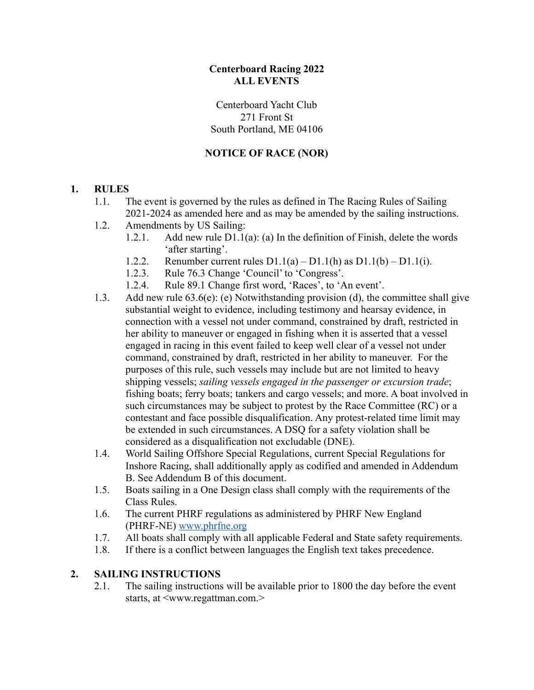### **Centerboard Racing 2022 ALL EVENTS**

Centerboard Yacht Club 271 Front St South Portland, ME 04106

### **NOTICE OF RACE (NOR)**

#### **1. RULES**

- 1.1. The event is governed by the rules as defined in The Racing Rules of Sailing 2021-2024 as amended here and as may be amended by the sailing instructions.
- 1.2. Amendments by US Sailing:
	- 1.2.1. Add new rule  $D1.1(a)$ : (a) In the definition of Finish, delete the words 'after starting'.
	- 1.2.2. Renumber current rules  $D1.1(a) D1.1(h)$  as  $D1.1(b) D1.1(i)$ .
	- 1.2.3. Rule 76.3 Change 'Council' to 'Congress'.
	- 1.2.4. Rule 89.1 Change first word, 'Races', to 'An event'.
- 1.3. Add new rule 63.6(e): (e) Notwithstanding provision (d), the committee shall give substantial weight to evidence, including testimony and hearsay evidence, in connection with a vessel not under command, constrained by draft, restricted in her ability to maneuver or engaged in fishing when it is asserted that a vessel engaged in racing in this event failed to keep well clear of a vessel not under command, constrained by draft, restricted in her ability to maneuver. For the purposes of this rule, such vessels may include but are not limited to heavy shipping vessels; *sailing vessels engaged in the passenger or excursion trade*; fishing boats; ferry boats; tankers and cargo vessels; and more. A boat involved in such circumstances may be subject to protest by the Race Committee (RC) or a contestant and face possible disqualification. Any protest-related time limit may be extended in such circumstances. A DSQ for a safety violation shall be considered as a disqualification not excludable (DNE).
- 1.4. World Sailing Offshore Special Regulations, current Special Regulations for Inshore Racing, shall additionally apply as codified and amended in Addendum B. See Addendum B of this document.
- 1.5. Boats sailing in a One Design class shall comply with the requirements of the Class Rules.
- 1.6. The current PHRF regulations as administered by PHRF New England (PHRF-NE) [www.phrfne.org](http://www.phrfne.org)
- 1.7. All boats shall comply with all applicable Federal and State safety requirements.
- 1.8. If there is a conflict between languages the English text takes precedence.

#### **2. SAILING INSTRUCTIONS**

2.1. The sailing instructions will be available prior to 1800 the day before the event starts, at  $\langle$ www.regattman.com.>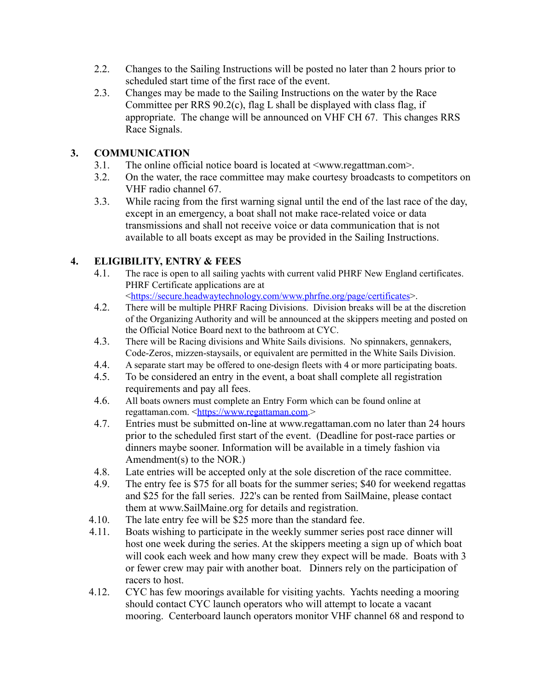- 2.2. Changes to the Sailing Instructions will be posted no later than 2 hours prior to scheduled start time of the first race of the event.
- 2.3. Changes may be made to the Sailing Instructions on the water by the Race Committee per RRS 90.2(c), flag L shall be displayed with class flag, if appropriate. The change will be announced on VHF CH 67. This changes RRS Race Signals.

# **3. COMMUNICATION**

- 3.1. The online official notice board is located at <www.regattman.com>.
- 3.2. On the water, the race committee may make courtesy broadcasts to competitors on VHF radio channel 67.
- 3.3. While racing from the first warning signal until the end of the last race of the day, except in an emergency, a boat shall not make race-related voice or data transmissions and shall not receive voice or data communication that is not available to all boats except as may be provided in the Sailing Instructions.

# **4. ELIGIBILITY, ENTRY & FEES**

4.1. The race is open to all sailing yachts with current valid PHRF New England certificates. PHRF Certificate applications are at

[<https://secure.headwaytechnology.com/www.phrfne.org/page/certificates](https://secure.headwaytechnology.com/www.phrfne.org/page/certificates)>.

- 4.2. There will be multiple PHRF Racing Divisions. Division breaks will be at the discretion of the Organizing Authority and will be announced at the skippers meeting and posted on the Official Notice Board next to the bathroom at CYC.
- 4.3. There will be Racing divisions and White Sails divisions. No spinnakers, gennakers, Code-Zeros, mizzen-staysails, or equivalent are permitted in the White Sails Division.
- 4.4. A separate start may be offered to one-design fleets with 4 or more participating boats.
- 4.5. To be considered an entry in the event, a boat shall complete all registration requirements and pay all fees.
- 4.6. All boats owners must complete an Entry Form which can be found online at regattaman.com. [<https://www.regattaman.com](https://www.regattaman.com).>
- 4.7. Entries must be submitted on-line at www.regattaman.com no later than 24 hours prior to the scheduled first start of the event. (Deadline for post-race parties or dinners maybe sooner. Information will be available in a timely fashion via Amendment(s) to the NOR.)
- 4.8. Late entries will be accepted only at the sole discretion of the race committee.
- 4.9. The entry fee is \$75 for all boats for the summer series; \$40 for weekend regattas and \$25 for the fall series. J22's can be rented from SailMaine, please contact them at www.SailMaine.org for details and registration.
- 4.10. The late entry fee will be \$25 more than the standard fee.
- 4.11. Boats wishing to participate in the weekly summer series post race dinner will host one week during the series. At the skippers meeting a sign up of which boat will cook each week and how many crew they expect will be made. Boats with 3 or fewer crew may pair with another boat. Dinners rely on the participation of racers to host.
- 4.12. CYC has few moorings available for visiting yachts. Yachts needing a mooring should contact CYC launch operators who will attempt to locate a vacant mooring. Centerboard launch operators monitor VHF channel 68 and respond to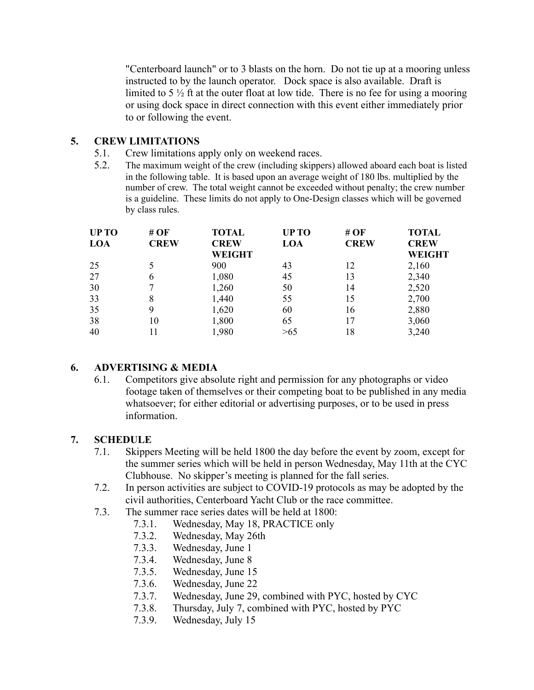"Centerboard launch" or to 3 blasts on the horn. Do not tie up at a mooring unless instructed to by the launch operator. Dock space is also available. Draft is limited to 5  $\frac{1}{2}$  ft at the outer float at low tide. There is no fee for using a mooring or using dock space in direct connection with this event either immediately prior to or following the event.

### **5. CREW LIMITATIONS**

- 5.1. Crew limitations apply only on weekend races.
- 5.2. The maximum weight of the crew (including skippers) allowed aboard each boat is listed in the following table. It is based upon an average weight of 180 lbs. multiplied by the number of crew. The total weight cannot be exceeded without penalty; the crew number is a guideline. These limits do not apply to One-Design classes which will be governed by class rules.

| <b>UP TO</b> | # $OF$<br><b>CREW</b> | <b>TOTAL</b><br><b>CREW</b> | <b>UPTO</b><br>LOA | #OF<br><b>CREW</b> | <b>TOTAL</b><br><b>CREW</b> |
|--------------|-----------------------|-----------------------------|--------------------|--------------------|-----------------------------|
| LOA          |                       |                             |                    |                    |                             |
|              |                       | <b>WEIGHT</b>               |                    |                    | <b>WEIGHT</b>               |
| 25           |                       | 900                         | 43                 | 12                 | 2,160                       |
| 27           | 6                     | 1,080                       | 45                 | 13                 | 2,340                       |
| 30           |                       | 1,260                       | 50                 | 14                 | 2,520                       |
| 33           | 8                     | 1,440                       | 55                 | 15                 | 2,700                       |
| 35           | 9                     | 1,620                       | 60                 | 16                 | 2,880                       |
| 38           | 10                    | 1,800                       | 65                 | 17                 | 3,060                       |
| 40           |                       | 1,980                       | >65                | 18                 | 3,240                       |

### **6. ADVERTISING & MEDIA**

6.1. Competitors give absolute right and permission for any photographs or video footage taken of themselves or their competing boat to be published in any media whatsoever; for either editorial or advertising purposes, or to be used in press information.

### **7. SCHEDULE**

- 7.1. Skippers Meeting will be held 1800 the day before the event by zoom, except for the summer series which will be held in person Wednesday, May 11th at the CYC Clubhouse. No skipper's meeting is planned for the fall series.
- 7.2. In person activities are subject to COVID-19 protocols as may be adopted by the civil authorities, Centerboard Yacht Club or the race committee.
- 7.3. The summer race series dates will be held at 1800:
	- 7.3.1. Wednesday, May 18, PRACTICE only
	- 7.3.2. Wednesday, May 26th
	- 7.3.3. Wednesday, June 1
	- 7.3.4. Wednesday, June 8
	- 7.3.5. Wednesday, June 15
	- 7.3.6. Wednesday, June 22
	- 7.3.7. Wednesday, June 29, combined with PYC, hosted by CYC
	- 7.3.8. Thursday, July 7, combined with PYC, hosted by PYC
	- 7.3.9. Wednesday, July 15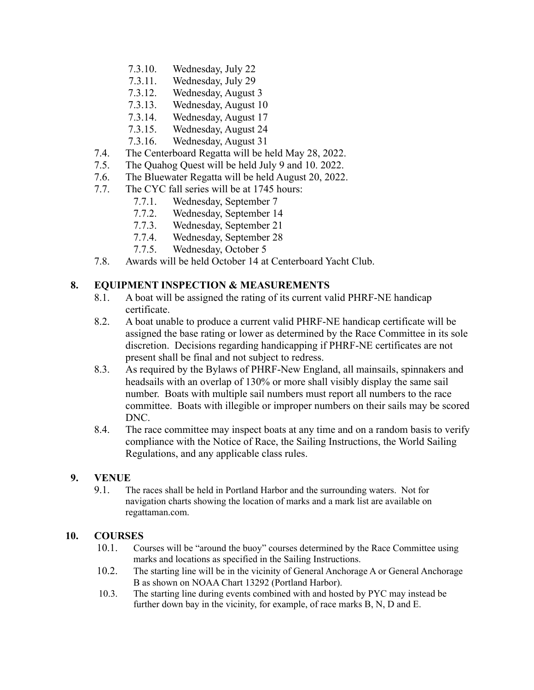- 7.3.10. Wednesday, July 22
- 7.3.11. Wednesday, July 29
- 7.3.12. Wednesday, August 3
- 7.3.13. Wednesday, August 10
- 7.3.14. Wednesday, August 17
- 7.3.15. Wednesday, August 24
- 7.3.16. Wednesday, August 31
- 7.4. The Centerboard Regatta will be held May 28, 2022.
- 7.5. The Quahog Quest will be held July 9 and 10. 2022.
- 7.6. The Bluewater Regatta will be held August 20, 2022.
- 7.7. The CYC fall series will be at 1745 hours:
	- 7.7.1. Wednesday, September 7
	- 7.7.2. Wednesday, September 14
	- 7.7.3. Wednesday, September 21
	- 7.7.4. Wednesday, September 28
	- 7.7.5. Wednesday, October 5
- 7.8. Awards will be held October 14 at Centerboard Yacht Club.

#### **8. EQUIPMENT INSPECTION & MEASUREMENTS**

- 8.1. A boat will be assigned the rating of its current valid PHRF-NE handicap certificate.
- 8.2. A boat unable to produce a current valid PHRF-NE handicap certificate will be assigned the base rating or lower as determined by the Race Committee in its sole discretion. Decisions regarding handicapping if PHRF-NE certificates are not present shall be final and not subject to redress.
- 8.3. As required by the Bylaws of PHRF-New England, all mainsails, spinnakers and headsails with an overlap of 130% or more shall visibly display the same sail number. Boats with multiple sail numbers must report all numbers to the race committee. Boats with illegible or improper numbers on their sails may be scored DNC.
- 8.4. The race committee may inspect boats at any time and on a random basis to verify compliance with the Notice of Race, the Sailing Instructions, the World Sailing Regulations, and any applicable class rules.

#### **9. VENUE**

9.1. The races shall be held in Portland Harbor and the surrounding waters. Not for navigation charts showing the location of marks and a mark list are available on regattaman.com.

#### **10. COURSES**

- 10.1. Courses will be "around the buoy" courses determined by the Race Committee using marks and locations as specified in the Sailing Instructions.
- 10.2. The starting line will be in the vicinity of General Anchorage A or General Anchorage B as shown on NOAA Chart 13292 (Portland Harbor).
- 10.3. The starting line during events combined with and hosted by PYC may instead be further down bay in the vicinity, for example, of race marks B, N, D and E.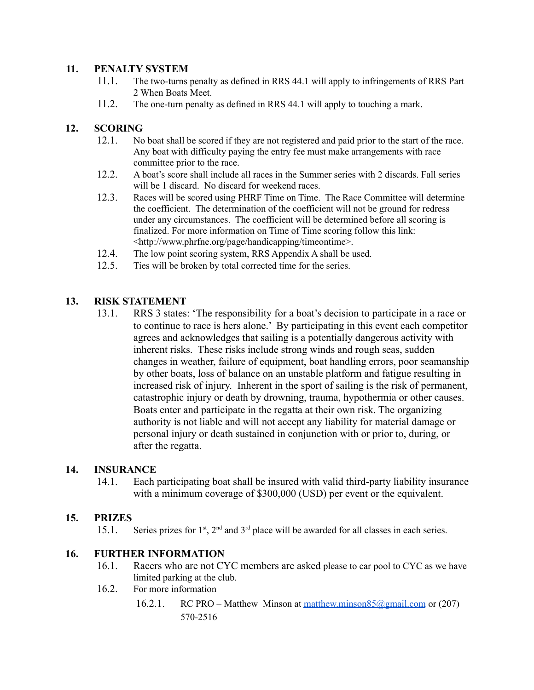#### **11. PENALTY SYSTEM**

- 11.1. The two-turns penalty as defined in RRS 44.1 will apply to infringements of RRS Part 2 When Boats Meet.
- 11.2. The one-turn penalty as defined in RRS 44.1 will apply to touching a mark.

## **12. SCORING**

- 12.1. No boat shall be scored if they are not registered and paid prior to the start of the race. Any boat with difficulty paying the entry fee must make arrangements with race committee prior to the race.
- 12.2. A boat's score shall include all races in the Summer series with 2 discards. Fall series will be 1 discard. No discard for weekend races.
- 12.3. Races will be scored using PHRF Time on Time. The Race Committee will determine the coefficient. The determination of the coefficient will not be ground for redress under any circumstances. The coefficient will be determined before all scoring is finalized. For more information on Time of Time scoring follow this link: <http://www.phrfne.org/page/handicapping/timeontime>.
- 12.4. The low point scoring system, RRS Appendix A shall be used.
- 12.5. Ties will be broken by total corrected time for the series.

#### **13. RISK STATEMENT**

13.1. RRS 3 states: 'The responsibility for a boat's decision to participate in a race or to continue to race is hers alone.' By participating in this event each competitor agrees and acknowledges that sailing is a potentially dangerous activity with inherent risks. These risks include strong winds and rough seas, sudden changes in weather, failure of equipment, boat handling errors, poor seamanship by other boats, loss of balance on an unstable platform and fatigue resulting in increased risk of injury. Inherent in the sport of sailing is the risk of permanent, catastrophic injury or death by drowning, trauma, hypothermia or other causes. Boats enter and participate in the regatta at their own risk. The organizing authority is not liable and will not accept any liability for material damage or personal injury or death sustained in conjunction with or prior to, during, or after the regatta.

#### **14. INSURANCE**

14.1. Each participating boat shall be insured with valid third-party liability insurance with a minimum coverage of \$300,000 (USD) per event or the equivalent.

#### **15. PRIZES**

15.1. Series prizes for  $1<sup>st</sup>$ ,  $2<sup>nd</sup>$  and  $3<sup>rd</sup>$  place will be awarded for all classes in each series.

#### **16. FURTHER INFORMATION**

- 16.1. Racers who are not CYC members are asked please to car pool to CYC as we have limited parking at the club.
- 16.2. For more information
	- 16.2.1. RC PRO Matthew Minson at matthew.minson85@gmail.com or (207) 570-2516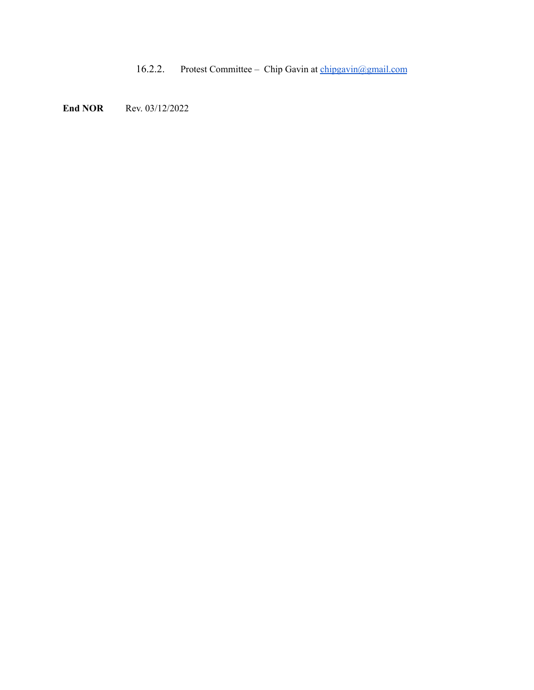16.2.2. Protest Committee – Chip Gavin at [chipgavin@gmail.com](mailto:chipgavin@gmail.com)

**End NOR** Rev. 03/12/2022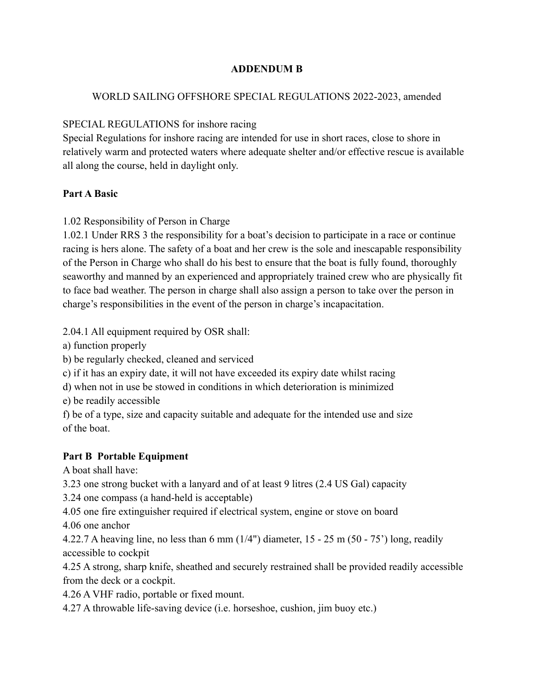## **ADDENDUM B**

## WORLD SAILING OFFSHORE SPECIAL REGULATIONS 2022-2023, amended

# SPECIAL REGULATIONS for inshore racing

Special Regulations for inshore racing are intended for use in short races, close to shore in relatively warm and protected waters where adequate shelter and/or effective rescue is available all along the course, held in daylight only.

## **Part A Basic**

## 1.02 Responsibility of Person in Charge

1.02.1 Under RRS 3 the responsibility for a boat's decision to participate in a race or continue racing is hers alone. The safety of a boat and her crew is the sole and inescapable responsibility of the Person in Charge who shall do his best to ensure that the boat is fully found, thoroughly seaworthy and manned by an experienced and appropriately trained crew who are physically fit to face bad weather. The person in charge shall also assign a person to take over the person in charge's responsibilities in the event of the person in charge's incapacitation.

2.04.1 All equipment required by OSR shall:

a) function properly

b) be regularly checked, cleaned and serviced

c) if it has an expiry date, it will not have exceeded its expiry date whilst racing

d) when not in use be stowed in conditions in which deterioration is minimized

e) be readily accessible

f) be of a type, size and capacity suitable and adequate for the intended use and size of the boat.

# **Part B Portable Equipment**

A boat shall have:

3.23 one strong bucket with a lanyard and of at least 9 litres (2.4 US Gal) capacity

3.24 one compass (a hand-held is acceptable)

4.05 one fire extinguisher required if electrical system, engine or stove on board

4.06 one anchor

4.22.7 A heaving line, no less than 6 mm (1/4") diameter, 15 - 25 m (50 - 75') long, readily accessible to cockpit

4.25 A strong, sharp knife, sheathed and securely restrained shall be provided readily accessible from the deck or a cockpit.

4.26 A VHF radio, portable or fixed mount.

4.27 A throwable life-saving device (i.e. horseshoe, cushion, jim buoy etc.)